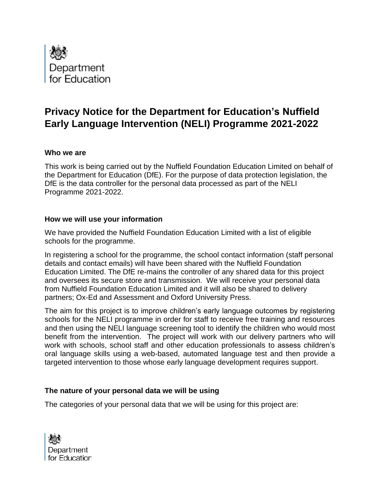

# **Privacy Notice for the Department for Education's Nuffield Early Language Intervention (NELI) Programme 2021-2022**

#### **Who we are**

This work is being carried out by the Nuffield Foundation Education Limited on behalf of the Department for Education (DfE). For the purpose of data protection legislation, the DfE is the data controller for the personal data processed as part of the NELI Programme 2021-2022.

#### **How we will use your information**

We have provided the Nuffield Foundation Education Limited with a list of eligible schools for the programme.

In registering a school for the programme, the school contact information (staff personal details and contact emails) will have been shared with the Nuffield Foundation Education Limited. The DfE re-mains the controller of any shared data for this project and oversees its secure store and transmission. We will receive your personal data from Nuffield Foundation Education Limited and it will also be shared to delivery partners; Ox-Ed and Assessment and Oxford University Press.

The aim for this project is to improve children's early language outcomes by registering schools for the NELI programme in order for staff to receive free training and resources and then using the NELI language screening tool to identify the children who would most benefit from the intervention. The project will work with our delivery partners who will work with schools, school staff and other education professionals to assess children's oral language skills using a web-based, automated language test and then provide a targeted intervention to those whose early language development requires support.

#### **The nature of your personal data we will be using**

The categories of your personal data that we will be using for this project are:

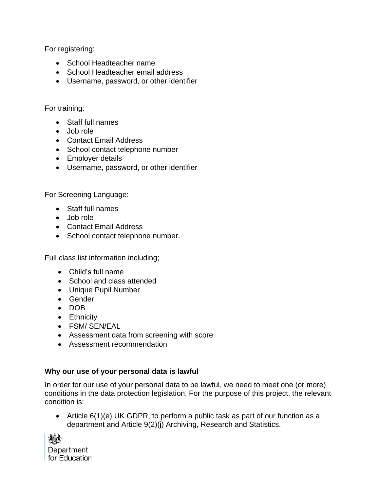For registering:

- School Headteacher name
- School Headteacher email address
- Username, password, or other identifier

### For training:

- Staff full names
- Job role
- Contact Email Address
- School contact telephone number
- Employer details
- Username, password, or other identifier

For Screening Language:

- Staff full names
- Job role
- Contact Email Address
- School contact telephone number.

Full class list information including;

- Child's full name
- School and class attended
- Unique Pupil Number
- Gender
- DOB
- Ethnicity
- FSM/ SEN/EAL
- Assessment data from screening with score
- Assessment recommendation

## **Why our use of your personal data is lawful**

In order for our use of your personal data to be lawful, we need to meet one (or more) conditions in the data protection legislation. For the purpose of this project, the relevant condition is:

• Article 6(1)(e) UK GDPR, to perform a public task as part of our function as a department and Article 9(2)(j) Archiving, Research and Statistics.

| 燃             |
|---------------|
| Department    |
| for Education |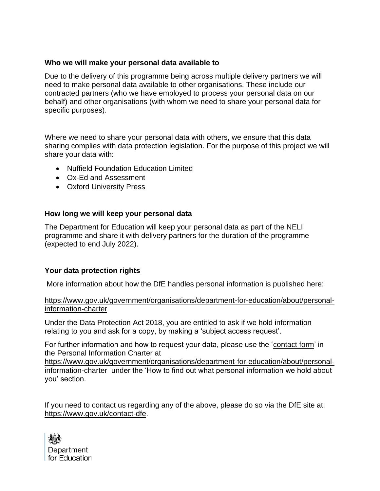#### **Who we will make your personal data available to**

Due to the delivery of this programme being across multiple delivery partners we will need to make personal data available to other organisations. These include our contracted partners (who we have employed to process your personal data on our behalf) and other organisations (with whom we need to share your personal data for specific purposes).

Where we need to share your personal data with others, we ensure that this data sharing complies with data protection legislation. For the purpose of this project we will share your data with:

- Nuffield Foundation Education Limited
- Ox-Ed and Assessment
- Oxford University Press

#### **How long we will keep your personal data**

The Department for Education will keep your personal data as part of the NELI programme and share it with delivery partners for the duration of the programme (expected to end July 2022).

#### **Your data protection rights**

More information about how the DfE handles personal information is published here:

[https://www.gov.uk/government/organisations/department-for-education/about/personal](https://www.gov.uk/government/organisations/department-for-education/about/personal-information-charter)[information-charter](https://www.gov.uk/government/organisations/department-for-education/about/personal-information-charter)

Under the Data Protection Act 2018, you are entitled to ask if we hold information relating to you and ask for a copy, by making a 'subject access request'.

For further information and how to request your data, please use the ['contact form'](https://form.education.gov.uk/en/AchieveForms/?form_uri=sandbox-publish://AF-Process-f1453496-7d8a-463f-9f33-1da2ac47ed76/AF-Stage-1e64d4cc-25fb-499a-a8d7-74e98203ac00/definition.json&redirectlink=%2Fen&cancelRedirectLink=%2Fen) in the Personal Information Charter at

[https://www.gov.uk/government/organisations/department-for-education/about/personal](https://www.gov.uk/government/organisations/department-for-education/about/personal-information-charter)[information-charter](https://www.gov.uk/government/organisations/department-for-education/about/personal-information-charter) under the 'How to find out what personal information we hold about you' section.

If you need to contact us regarding any of the above, please do so via the DfE site at: [https://www.gov.uk/contact-dfe.](https://www.gov.uk/contact-dfe)

| 戀             |
|---------------|
| Department    |
| for Education |